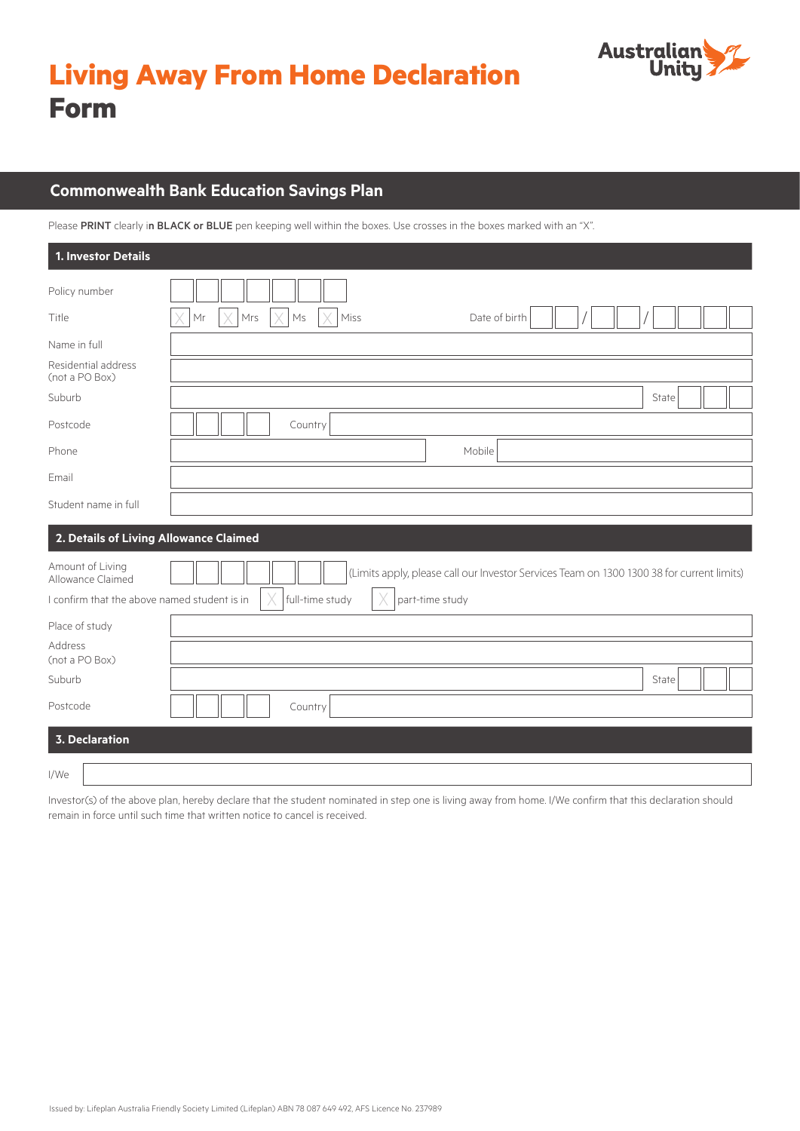



# **Commonwealth Bank Education Savings Plan**

Please PRINT clearly in BLACK or BLUE pen keeping well within the boxes. Use crosses in the boxes marked with an "X".

| 1. Investor Details                                                                   |                                                                                                                                 |
|---------------------------------------------------------------------------------------|---------------------------------------------------------------------------------------------------------------------------------|
| Policy number                                                                         |                                                                                                                                 |
| Title                                                                                 | Mrs<br>Ms<br>Miss<br>Date of birth<br>Mr                                                                                        |
| Name in full                                                                          |                                                                                                                                 |
| Residential address<br>(not a PO Box)                                                 |                                                                                                                                 |
| Suburb                                                                                | State                                                                                                                           |
| Postcode                                                                              | Country                                                                                                                         |
| Phone                                                                                 | Mobile                                                                                                                          |
| Email                                                                                 |                                                                                                                                 |
| Student name in full                                                                  |                                                                                                                                 |
| 2. Details of Living Allowance Claimed                                                |                                                                                                                                 |
| Amount of Living<br>Allowance Claimed<br>I confirm that the above named student is in | (Limits apply, please call our Investor Services Team on 1300 1300 38 for current limits)<br>full-time study<br>part-time study |
| Place of study                                                                        |                                                                                                                                 |
| Address<br>(not a PO Box)                                                             |                                                                                                                                 |
| Suburb                                                                                | State                                                                                                                           |
| Postcode                                                                              | Country                                                                                                                         |
| <b>3. Declaration</b>                                                                 |                                                                                                                                 |
| I/We                                                                                  |                                                                                                                                 |

Investor(s) of the above plan, hereby declare that the student nominated in step one is living away from home. I/We confirm that this declaration should remain in force until such time that written notice to cancel is received.